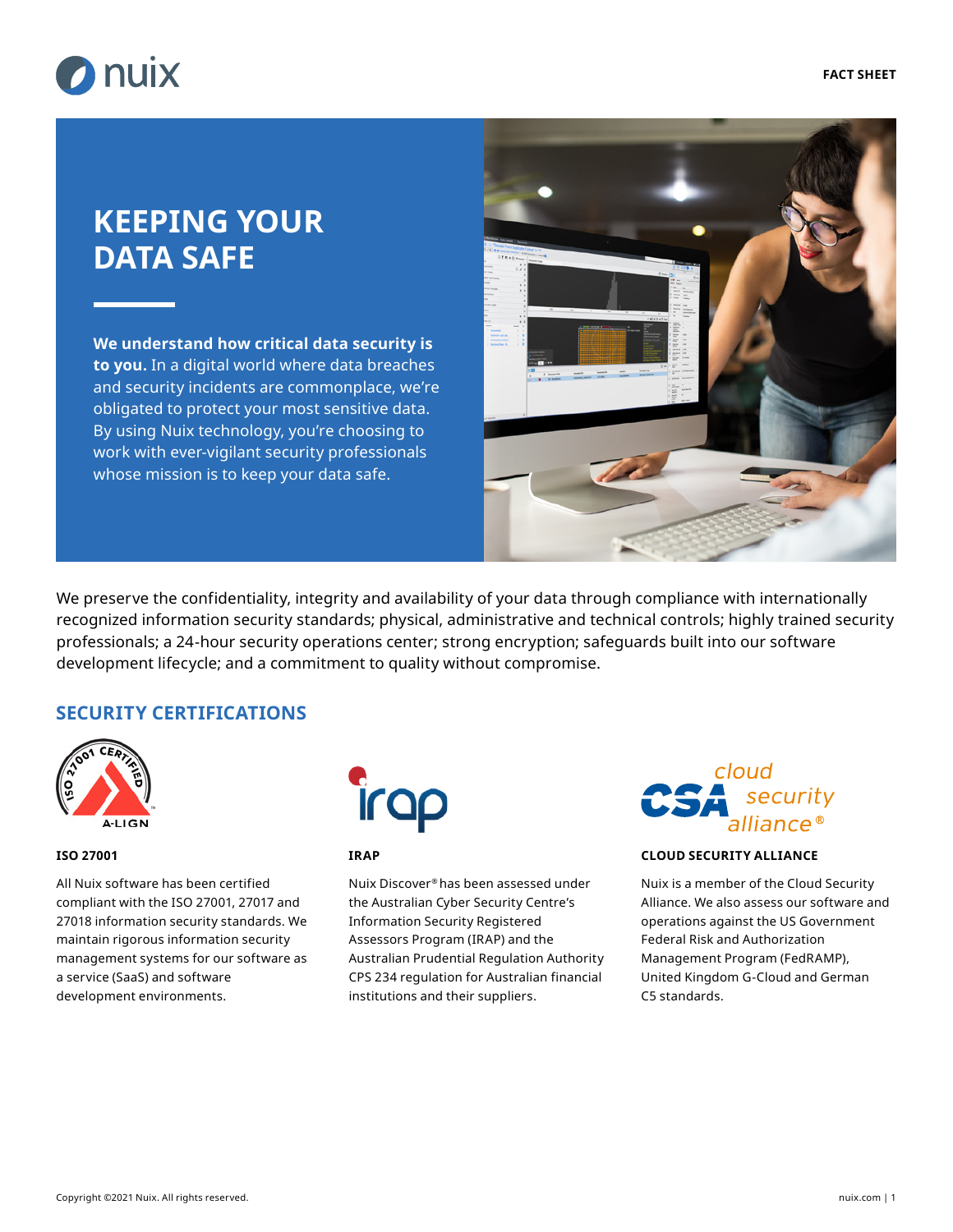

# **KEEPING YOUR DATA SAFE**

**We understand how critical data security is to you.** In a digital world where data breaches and security incidents are commonplace, we're obligated to protect your most sensitive data. By using Nuix technology, you're choosing to work with ever-vigilant security professionals whose mission is to keep your data safe.



We preserve the confidentiality, integrity and availability of your data through compliance with internationally recognized information security standards; physical, administrative and technical controls; highly trained security professionals; a 24-hour security operations center; strong encryption; safeguards built into our software development lifecycle; and a commitment to quality without compromise.

### **SECURITY CERTIFICATIONS**



#### **ISO 27001**

All Nuix software has been certified compliant with the ISO 27001, 27017 and 27018 information security standards. We maintain rigorous information security management systems for our software as a service (SaaS) and software development environments.



#### **IRAP**

Nuix Discover® has been assessed under the Australian Cyber Security Centre's Information Security Registered Assessors Program (IRAP) and the Australian Prudential Regulation Authority CPS 234 regulation for Australian financial institutions and their suppliers.



#### **CLOUD SECURITY ALLIANCE**

Nuix is a member of the Cloud Security Alliance. We also assess our software and operations against the US Government Federal Risk and Authorization Management Program (FedRAMP), United Kingdom G-Cloud and German C5 standards.